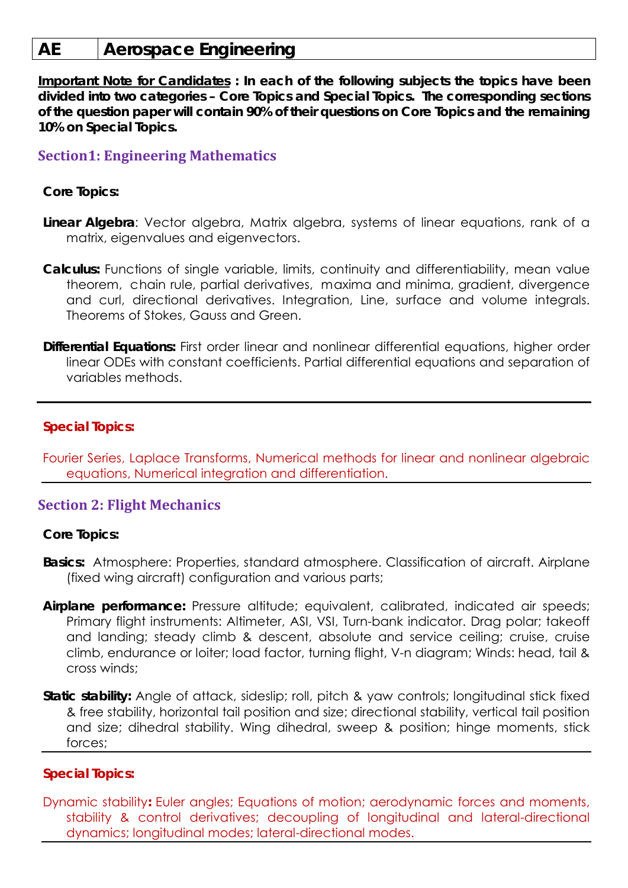# **AE Aerospace Engineering**

**Important Note for Candidates : In each of the following subjects the topics have been divided into two categories – Core Topics and Special Topics. The corresponding sections of the question paper will contain 90% of their questions on Core Topics and the remaining 10% on Special Topics.** 

## **Section1: Engineering Mathematics**

### **Core Topics:**

- **Linear Algebra**: Vector algebra, Matrix algebra, systems of linear equations, rank of a matrix, eigenvalues and eigenvectors.
- **Calculus:** Functions of single variable, limits, continuity and differentiability, mean value theorem, chain rule, partial derivatives, maxima and minima, gradient, divergence and curl, directional derivatives. Integration, Line, surface and volume integrals. Theorems of Stokes, Gauss and Green.
- **Differential Equations:** First order linear and nonlinear differential equations, higher order linear ODEs with constant coefficients. Partial differential equations and separation of variables methods.

#### **Special Topics:**

Fourier Series, Laplace Transforms, Numerical methods for linear and nonlinear algebraic equations, Numerical integration and differentiation.

## **Section 2: Flight Mechanics**

#### **Core Topics:**

- **Basics:** Atmosphere: Properties, standard atmosphere. Classification of aircraft. Airplane (fixed wing aircraft) configuration and various parts;
- Airplane performance: Pressure altitude; equivalent, calibrated, indicated air speeds; Primary flight instruments: Altimeter, ASI, VSI, Turn-bank indicator. Drag polar; takeoff and landing; steady climb & descent, absolute and service ceiling; cruise, cruise climb, endurance or loiter; load factor, turning flight, V-n diagram; Winds: head, tail & cross winds;
- **Static stability:** Angle of attack, sideslip; roll, pitch & yaw controls; longitudinal stick fixed & free stability, horizontal tail position and size; directional stability, vertical tail position and size; dihedral stability. Wing dihedral, sweep & position; hinge moments, stick forces;

## **Special Topics:**

Dynamic stability**:** Euler angles; Equations of motion; aerodynamic forces and moments, stability & control derivatives; decoupling of longitudinal and lateral-directional dynamics; longitudinal modes; lateral-directional modes.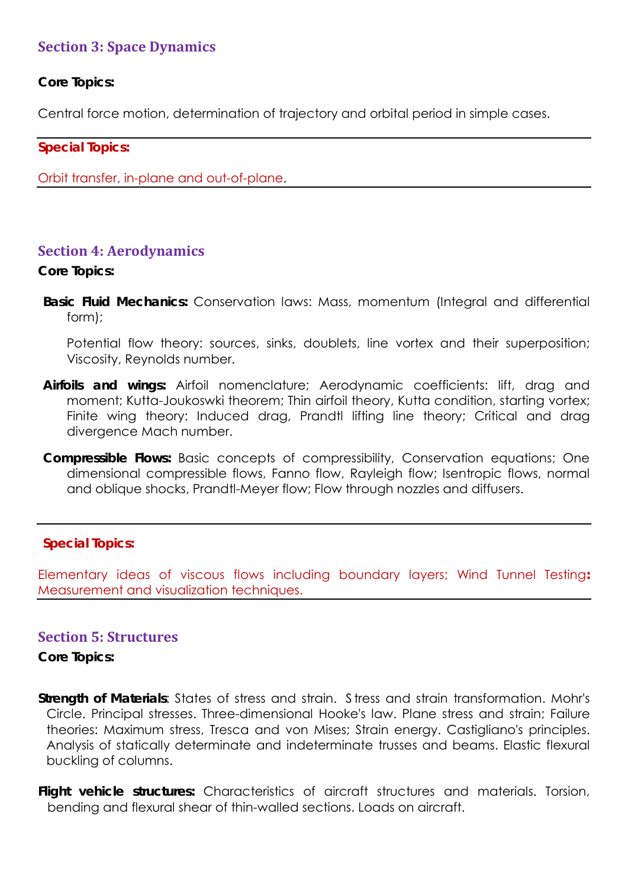## **Section 3: Space Dynamics**

## **Core Topics:**

Central force motion, determination of trajectory and orbital period in simple cases.

#### **Special Topics:**

Orbit transfer, in-plane and out-of-plane.

## **Section 4: Aerodynamics**

#### **Core Topics:**

**Basic Fluid Mechanics:** Conservation laws: Mass, momentum (Integral and differential form);

Potential flow theory: sources, sinks, doublets, line vortex and their superposition; Viscosity, Reynolds number.

- **Airfoils and wings:** Airfoil nomenclature; Aerodynamic coefficients: lift, drag and moment; Kutta-Joukoswki theorem; Thin airfoil theory, Kutta condition, starting vortex; Finite wing theory: Induced drag, Prandtl lifting line theory; Critical and drag divergence Mach number.
- **Compressible Flows:** Basic concepts of compressibility, Conservation equations; One dimensional compressible flows, Fanno flow, Rayleigh flow; Isentropic flows, normal and oblique shocks, Prandtl-Meyer flow; Flow through nozzles and diffusers.

## **Special Topics:**

Elementary ideas of viscous flows including boundary layers; Wind Tunnel Testing**:**  Measurement and visualization techniques.

## **Section 5: Structures**

**Core Topics:** 

**Strength of Materials**: States of stress and strain. S tress and strain transformation. Mohr's Circle. Principal stresses. Three-dimensional Hooke's law. Plane stress and strain; Failure theories: Maximum stress, Tresca and von Mises; Strain energy. Castigliano's principles. Analysis of statically determinate and indeterminate trusses and beams. Elastic flexural buckling of columns.

**Flight vehicle structures:** Characteristics of aircraft structures and materials. Torsion, bending and flexural shear of thin-walled sections. Loads on aircraft.